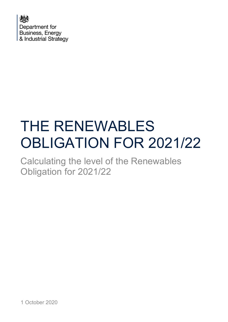

# THE RENEWABLES OBLIGATION FOR 2021/22

Calculating the level of the Renewables Obligation for 2021/22

1 October 2020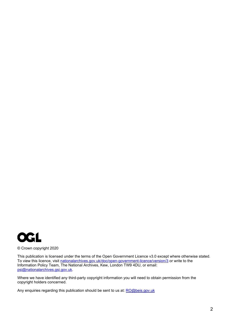

© Crown copyright 2020

This publication is licensed under the terms of the Open Government Licence v3.0 except where otherwise stated. To view this licence, visit <u>nationalarchives.gov.uk/doc/open-government-licence/version/3</u> or write to the Information Policy Team, The National Archives, Kew, London TW9 4DU, or email: [psi@nationalarchives.gsi.gov.uk.](mailto:psi@nationalarchives.gsi.gov.uk)

Where we have identified any third-party copyright information you will need to obtain permission from the copyright holders concerned.

Any enquiries regarding this publication should be sent to us at: [RO@beis.gov.uk](mailto:RO@beis.gov.uk)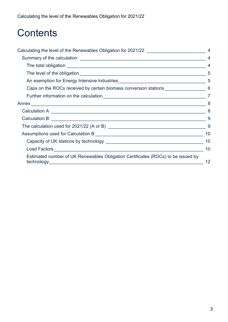## **Contents**

| Calculating the level of the Renewables Obligation for 2021/22 __________________   |                |
|-------------------------------------------------------------------------------------|----------------|
|                                                                                     | $\overline{4}$ |
|                                                                                     | $\overline{4}$ |
|                                                                                     |                |
|                                                                                     |                |
| Caps on the ROCs received by certain biomass conversion stations ________________ 6 |                |
|                                                                                     |                |
|                                                                                     | 8              |
|                                                                                     |                |
|                                                                                     |                |
|                                                                                     | 9              |
|                                                                                     | 10             |
|                                                                                     | 10             |
|                                                                                     | 10             |
| Estimated number of UK Renewables Obligation Certificates (ROCs) to be issued by    | 12             |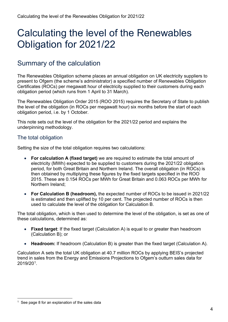## <span id="page-3-0"></span>Calculating the level of the Renewables Obligation for 2021/22

## <span id="page-3-1"></span>Summary of the calculation

The Renewables Obligation scheme places an annual obligation on UK electricity suppliers to present to Ofgem (the scheme's administrator) a specified number of Renewables Obligation Certificates (ROCs) per megawatt hour of electricity supplied to their customers during each obligation period (which runs from 1 April to 31 March).

The Renewables Obligation Order 2015 (ROO 2015) requires the Secretary of State to publish the level of the obligation (in ROCs per megawatt hour) six months before the start of each obligation period, i.e. by 1 October.

This note sets out the level of the obligation for the 2021/22 period and explains the underpinning methodology.

### <span id="page-3-2"></span>The total obligation

Setting the size of the total obligation requires two calculations:

- **For calculation A (fixed target)** we are required to estimate the total amount of electricity (MWh) expected to be supplied to customers during the 2021/22 obligation period, for both Great Britain and Northern Ireland. The overall obligation (in ROCs) is then obtained by multiplying these figures by the fixed targets specified in the ROO 2015. These are 0.154 ROCs per MWh for Great Britain and 0.063 ROCs per MWh for Northern Ireland;
- **For Calculation B (headroom),** the expected number of ROCs to be issued in 2021/22 is estimated and then uplifted by 10 per cent. The projected number of ROCs is then used to calculate the level of the obligation for Calculation B.

The total obligation, which is then used to determine the level of the obligation, is set as one of these calculations, determined as:

- **Fixed target**: If the fixed target (Calculation A) is equal to or greater than headroom (Calculation B); or
- **Headroom:** If headroom (Calculation B) is greater than the fixed target (Calculation A).

Calculation A sets the total UK obligation at 40.7 million ROCs by applying BEIS's projected trend in sales from the Energy and Emissions Projections to Ofgem's outturn sales data for 2019/20[1.](#page-3-3)

<span id="page-3-3"></span> $1$  See page 8 for an explanation of the sales data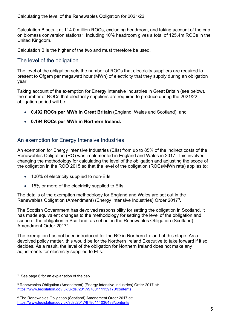Calculation B sets it at 114.0 million ROCs, excluding headroom, and taking account of the cap on biomass conversion stations<sup>2</sup>. Including 10% headroom gives a total of 125.4m ROCs in the United Kingdom.

Calculation B is the higher of the two and must therefore be used.

### <span id="page-4-0"></span>The level of the obligation

The level of the obligation sets the number of ROCs that electricity suppliers are required to present to Ofgem per megawatt hour (MWh) of electricity that they supply during an obligation year.

Taking account of the exemption for Energy Intensive Industries in Great Britain (see below), the number of ROCs that electricity suppliers are required to produce during the 2021/22 obligation period will be:

- **0.492 ROCs per MWh in Great Britain** (England, Wales and Scotland); and
- **0.194 ROCs per MWh in Northern Ireland.**

## <span id="page-4-1"></span>An exemption for Energy Intensive Industries

An exemption for Energy Intensive Industries (EIIs) from up to 85% of the indirect costs of the Renewables Obligation (RO) was implemented in England and Wales in 2017. This involved changing the methodology for calculating the level of the obligation and adjusting the scope of the obligation in the ROO 2015 so that the level of the obligation (ROCs/MWh rate) applies to:

- 100% of electricity supplied to non-Ells;
- 15% or more of the electricity supplied to EIIs.

The details of the exemption methodology for England and Wales are set out in the Renewables Obligation (Amendment) (Energy Intensive Industries) Order 201[73.](#page-4-3)

The Scottish Government has devolved responsibility for setting the obligation in Scotland. It has made equivalent changes to the methodology for setting the level of the obligation and scope of the obligation in Scotland, as set out in the Renewables Obligation (Scotland) Amendment Order 2017[4](#page-4-4).

The exemption has not been introduced for the RO in Northern Ireland at this stage. As a devolved policy matter, this would be for the Northern Ireland Executive to take forward if it so decides. As a result, the level of the obligation for Northern Ireland does not make any adjustments for electricity supplied to EIIs.

<span id="page-4-2"></span><sup>2</sup> See page 6 for an explanation of the cap.

<span id="page-4-3"></span><sup>3</sup> Renewables Obligation (Amendment) (Energy Intensive Industries) Order 2017 at: <https://www.legislation.gov.uk/ukdsi/2017/9780111159170/contents>

<span id="page-4-4"></span><sup>4</sup> The Renewables Obligation (Scotland) Amendment Order 2017 at: <https://www.legislation.gov.uk/sdsi/2017/9780111036433/contents>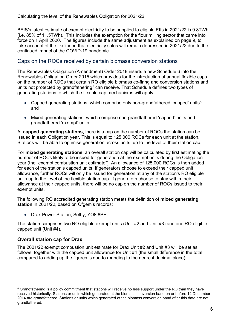BEIS's latest estimate of exempt electricity to be supplied to eligible EIIs in 2021/22 is 9.8TWh (i.e. 85% of 11.5TWh). This includes the exemption for the flour milling sector that came into force on 1 April 2020. The figures include the same adjustment as explained on page 9, to take account of the likelihood that electricity sales will remain depressed in 2021/22 due to the continued impact of the COVID-19 pandemic.

### <span id="page-5-0"></span>Caps on the ROCs received by certain biomass conversion stations

The Renewables Obligation (Amendment) Order 2018 inserts a new Schedule 6 into the Renewables Obligation Order 2015 which provides for the introduction of annual flexible caps on the number of ROCs that certain RO eligible biomass co-firing and conversion stations and units not protected by grandfathering<sup>[5](#page-5-1)</sup> can receive. That Schedule defines two types of generating stations to which the flexible cap mechanisms will apply:

- Capped generating stations, which comprise only non-grandfathered 'capped' units': and
- Mixed generating stations, which comprise non-grandfathered 'capped' units and grandfathered 'exempt' units.

At **capped generating stations**, there is a cap on the number of ROCs the station can be issued in each Obligation year. This is equal to 125,000 ROCs for each unit at the station. Stations will be able to optimise generation across units, up to the level of their station cap.

For **mixed generating stations**, an overall station cap will be calculated by first estimating the number of ROCs likely to be issued for generation at the exempt units during the Obligation year (the "exempt combustion unit estimate"). An allowance of 125,000 ROCs is then added for each of the station's capped units. If generators choose to exceed their capped unit allowance, further ROCs will only be issued for generation at any of the station's RO eligible units up to the level of the flexible station cap. If generators choose to stay within their allowance at their capped units, there will be no cap on the number of ROCs issued to their exempt units.

The following RO accredited generating station meets the definition of **mixed generating station** in 2021/22, based on Ofgem's records:

• Drax Power Station, Selby, YO8 8PH.

The station comprises two RO eligible exempt units (Unit #2 and Unit #3) and one RO eligible capped unit (Unit #4).

### **Overall station cap for Drax**

The 2021/22 exempt combustion unit estimate for Drax Unit #2 and Unit #3 will be set as follows, together with the capped unit allowance for Unit #4 (the small difference in the total compared to adding up the figures is due to rounding to the nearest decimal place):

<span id="page-5-1"></span><sup>5</sup> Grandfathering is a policy commitment that stations will receive no less support under the RO than they have received historically. Stations or units which generated at the biomass conversion band on or before 12 December 2014 are grandfathered. Stations or units which generated at the biomass conversion band after this date are not grandfathered.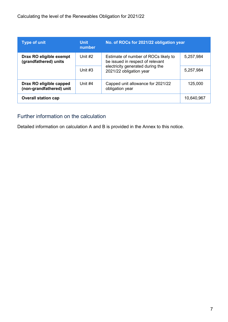| <b>Type of unit</b>                                 | <b>Unit</b><br>number                                                    | No. of ROCs for 2021/22 obligation year                                  |            |
|-----------------------------------------------------|--------------------------------------------------------------------------|--------------------------------------------------------------------------|------------|
| Drax RO eligible exempt<br>(grandfathered) units    | Unit #2                                                                  | Estimate of number of ROCs likely to<br>be issued in respect of relevant | 5,257,984  |
|                                                     | electricity generated during the<br>Unit $#3$<br>2021/22 obligation year |                                                                          | 5,257,984  |
| Drax RO eligible capped<br>(non-grandfathered) unit | Unit $#4$                                                                | Capped unit allowance for 2021/22<br>obligation year                     | 125,000    |
| <b>Overall station cap</b>                          |                                                                          |                                                                          | 10,640,967 |

## <span id="page-6-0"></span>Further information on the calculation

Detailed information on calculation A and B is provided in the Annex to this notice.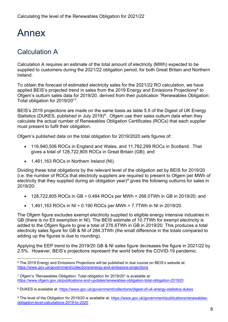## <span id="page-7-0"></span>Annex

## <span id="page-7-1"></span>Calculation A

Calculation A requires an estimate of the total amount of electricity (MWh) expected to be supplied to customers during the 2021/22 obligation period, for both Great Britain and Northern Ireland.

To obtain the forecast of estimated electricity sales for the 2021/22 RO calculation, we have applied BEIS's projected trend in sales from the 2019 Energy and Emissions Projections<sup>[6](#page-7-2)</sup> to Ofgem's outturn sales data for 2019/20, derived from their publication "Renewables Obligation: Total obligation for 2019/20"[7.](#page-7-3)

BEIS's 2019 projections are made on the same basis as table 5.5 of the Digest of UK Energy Statistics (DUKES, published in July 2019)<sup>8</sup>. Ofgem use their sales outturn data when they calculate the actual number of Renewables Obligation Certificates (ROCs) that each supplier must present to fulfil their obligation.

Ofgem's published data on the total obligation for 2019/2020 sets figures of:

- 116,940,506 ROCs in England and Wales, and 11,782,299 ROCs in Scotland. That gives a total of 128,722,805 ROCs in Great Britain (GB); and
- 1,461,163 ROCs in Northern Ireland (NI).

Dividing these total obligations by the relevant level of the obligation set by BEIS for 2019/20 (i.e. the number of ROCs that electricity suppliers are required to present to Ofgem per MWh of electricity that they supplied during an obligation year)<sup>[9](#page-7-5)</sup> gives the following outturns for sales in 2019/20:

- 128,722,805 ROCs in GB  $\div$  0.484 ROCs per MWh = 266.0TWh in GB in 2019/20; and
- $1,461,163$  ROCs in NI ÷ 0.190 ROCs per MWh = 7.7TWh in NI in 2019/20.

The Ofgem figure excludes exempt electricity supplied to eligible energy intensive industries in GB (there is no EII exemption in NI). The BEIS estimate of 10.7TWh for exempt electricity is added to the Ofgem figure to give a total of 276.6TWh in GB in 2019/20. This produces a total electricity sales figure for GB & NI of 284.3TWh (the small difference in the totals compared to adding up the figures is due to rounding).

Applying the EEP trend to the 2019/20 GB & NI sales figure decreases the figure in 2021/22 by 2.5%. However, BEIS's projections represent the world before the COVID-19 pandemic.

<span id="page-7-2"></span><sup>6</sup> The 2019 Energy and Emissions Projections will be published in due course on BEIS's website at: [https://www.gov.uk/government/collections/energy-and-emissions-projections](https://eur02.safelinks.protection.outlook.com/?url=https%3A%2F%2Fwww.gov.uk%2Fgovernment%2Fcollections%2Fenergy-and-emissions-projections&data=02%7C01%7Ckatherine.donne%40beis.gov.uk%7C32e17a706fd94beac95508d86156f41d%7Ccbac700502c143ebb497e6492d1b2dd8%7C0%7C0%7C637366373370141427&sdata=cdvrsEo8q%2FUeybljWXE5wqmJ6mg%2BOscrs3oTBFcG8Lw%3D&reserved=0)

<span id="page-7-3"></span><sup>7</sup> Ofgem's "Renewables Obligation: Total obligation for 2019/20" is available at: <https://www.ofgem.gov.uk/publications-and-updates/renewables-obligation-total-obligation-201920>

<span id="page-7-4"></span><sup>8</sup> DUKES is available at:<https://www.gov.uk/government/collections/digest-of-uk-energy-statistics-dukes>

<span id="page-7-5"></span><sup>9</sup> The level of the Obligation for 2019/20 is available at: [https://www.gov.uk/government/publications/renewables](https://www.gov.uk/government/publications/renewables-obligation-level-calculations-2019-to-2020)[obligation-level-calculations-2019-to-2020](https://www.gov.uk/government/publications/renewables-obligation-level-calculations-2019-to-2020)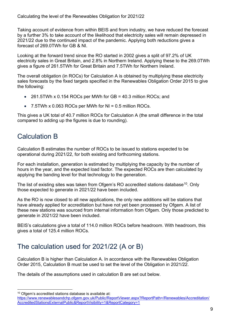Taking account of evidence from within BEIS and from industry, we have reduced the forecast by a further 3% to take account of the likelihood that electricity sales will remain depressed in 2021/22 due to the continued impact of the pandemic. Applying both reductions gives a forecast of 269.0TWh for GB & NI.

Looking at the forward trend since the RO started in 2002 gives a split of 97.2% of UK electricity sales in Great Britain, and 2.8% in Northern Ireland. Applying these to the 269.0TWh gives a figure of 261.5TWh for Great Britain and 7.5TWh for Northern Ireland.

The overall obligation (in ROCs) for Calculation A is obtained by multiplying these electricity sales forecasts by the fixed targets specified in the Renewables Obligation Order 2015 to give the following:

- 261.5TWh x 0.154 ROCs per MWh for GB = 40.3 million ROCs; and
- $\bullet$  7.5TWh x 0.063 ROCs per MWh for NI = 0.5 million ROCs.

This gives a UK total of 40.7 million ROCs for Calculation A (the small difference in the total compared to adding up the figures is due to rounding).

## <span id="page-8-0"></span>Calculation B

Calculation B estimates the number of ROCs to be issued to stations expected to be operational during 2021/22, for both existing and forthcoming stations.

For each installation, generation is estimated by multiplying the capacity by the number of hours in the year, and the expected load factor. The expected ROCs are then calculated by applying the banding level for that technology to the generation.

The list of existing sites was taken from Ofgem's RO accredited stations database<sup>[10](#page-8-2)</sup>. Only those expected to generate in 2021/22 have been included.

As the RO is now closed to all new applications, the only new additions will be stations that have already applied for accreditation but have not yet been processed by Ofgem. A list of these new stations was sourced from internal information from Ofgem. Only those predicted to generate in 2021/22 have been included.

BEIS's calculations give a total of 114.0 million ROCs before headroom. With headroom, this gives a total of 125.4 million ROCs.

## <span id="page-8-1"></span>The calculation used for 2021/22 (A or B)

Calculation B is higher than Calculation A. In accordance with the Renewables Obligation Order 2015, Calculation B must be used to set the level of the Obligation in 2021/22.

The details of the assumptions used in calculation B are set out below.

<span id="page-8-2"></span><sup>&</sup>lt;sup>10</sup> Ofgem's accredited stations database is available at:

[https://www.renewablesandchp.ofgem.gov.uk/Public/ReportViewer.aspx?ReportPath=/Renewables/Accreditation/](https://www.renewablesandchp.ofgem.gov.uk/Public/ReportViewer.aspx?ReportPath=/Renewables/Accreditation/AccreditedStationsExternalPublic&ReportVisibility=1&ReportCategory=1) [AccreditedStationsExternalPublic&ReportVisibility=1&ReportCategory=1](https://www.renewablesandchp.ofgem.gov.uk/Public/ReportViewer.aspx?ReportPath=/Renewables/Accreditation/AccreditedStationsExternalPublic&ReportVisibility=1&ReportCategory=1)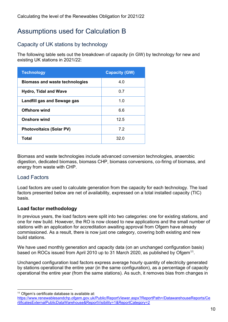## <span id="page-9-0"></span>Assumptions used for Calculation B

## <span id="page-9-1"></span>Capacity of UK stations by technology

The following table sets out the breakdown of capacity (in GW) by technology for new and existing UK stations in 2021/22:

| <b>Technology</b>                     | <b>Capacity (GW)</b> |
|---------------------------------------|----------------------|
| <b>Biomass and waste technologies</b> | 4.0                  |
| <b>Hydro, Tidal and Wave</b>          | 0.7                  |
| Landfill gas and Sewage gas           | 1.0                  |
| <b>Offshore wind</b>                  | 6.6                  |
| <b>Onshore wind</b>                   | 12.5                 |
| <b>Photovoltaics (Solar PV)</b>       | 7.2                  |
| Total                                 | 32.0                 |

Biomass and waste technologies include advanced conversion technologies, anaerobic digestion, dedicated biomass, biomass CHP, biomass conversions, co-firing of biomass, and energy from waste with CHP.

## <span id="page-9-2"></span>Load Factors

Load factors are used to calculate generation from the capacity for each technology. The load factors presented below are net of availability, expressed on a total installed capacity (TIC) basis.

### **Load factor methodology**

In previous years, the load factors were split into two categories: one for existing stations, and one for new build. However, the RO is now closed to new applications and the small number of stations with an application for accreditation awaiting approval from Ofgem have already commissioned. As a result, there is now just one category, covering both existing and new build stations.

We have used monthly generation and capacity data (on an unchanged configuration basis) based on ROCs issued from April 2010 up to 31 March 2020, as published by Ofgem<sup>11</sup>.

Unchanged configuration load factors express average hourly quantity of electricity generated by stations operational the entire year (in the same configuration), as a percentage of capacity operational the entire year (from the same stations). As such, it removes bias from changes in

<span id="page-9-3"></span><sup>&</sup>lt;sup>11</sup> Ofgem's certificate database is available at:

[https://www.renewablesandchp.ofgem.gov.uk/Public/ReportViewer.aspx?ReportPath=/DatawarehouseReports/Ce](https://www.renewablesandchp.ofgem.gov.uk/Public/ReportViewer.aspx?ReportPath=/DatawarehouseReports/CertificatesExternalPublicDataWarehouse&ReportVisibility=1&ReportCategory=2) [rtificatesExternalPublicDataWarehouse&ReportVisibility=1&ReportCategory=2](https://www.renewablesandchp.ofgem.gov.uk/Public/ReportViewer.aspx?ReportPath=/DatawarehouseReports/CertificatesExternalPublicDataWarehouse&ReportVisibility=1&ReportCategory=2)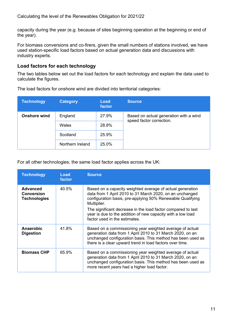capacity during the year (e.g. because of sites beginning operation at the beginning or end of the year).

For biomass conversions and co-firers, given the small numbers of stations involved, we have used station-specific load factors based on actual generation data and discussions with industry experts.

#### **Load factors for each technology**

The two tables below set out the load factors for each technology and explain the data used to calculate the figures.

| <b>Technology</b>   | <b>Category</b>  | Load<br>factor | <b>Source</b>                                                      |
|---------------------|------------------|----------------|--------------------------------------------------------------------|
| <b>Onshore wind</b> | England          | 27.9%          | Based on actual generation with a wind<br>speed factor correction. |
|                     | <b>Wales</b>     | 28.8%          |                                                                    |
|                     | Scotland         | 25.9%          |                                                                    |
|                     | Northern Ireland | 25.0%          |                                                                    |

The load factors for onshore wind are divided into territorial categories:

For all other technologies, the same load factor applies across the UK:

| <b>Technology</b>                                           | Load<br>factor | <b>Source</b>                                                                                                                                                                                                                                                                                                                                                      |
|-------------------------------------------------------------|----------------|--------------------------------------------------------------------------------------------------------------------------------------------------------------------------------------------------------------------------------------------------------------------------------------------------------------------------------------------------------------------|
| <b>Advanced</b><br><b>Conversion</b><br><b>Technologies</b> | 40.5%          | Based on a capacity weighted average of actual generation<br>data from 1 April 2010 to 31 March 2020, on an unchanged<br>configuration basis, pre-applying 50% Renewable Qualifying<br>Multiplier.<br>The significant decrease in the load factor compared to last<br>year is due to the addition of new capacity with a low load<br>factor used in the estimates. |
| Anaerobic<br><b>Digestion</b>                               | 41.8%          | Based on a commissioning year weighted average of actual<br>generation data from 1 April 2010 to 31 March 2020, on an<br>unchanged configuration basis. This method has been used as<br>there is a clear upward trend in load factors over time.                                                                                                                   |
| <b>Biomass CHP</b>                                          | 65.9%          | Based on a commissioning year weighted average of actual<br>generation data from 1 April 2010 to 31 March 2020, on an<br>unchanged configuration basis. This method has been used as<br>more recent years had a higher load factor.                                                                                                                                |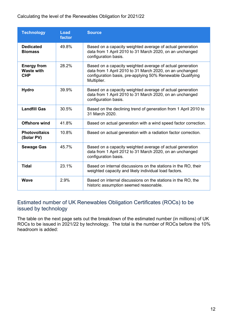#### Calculating the level of the Renewables Obligation for 2021/22

| <b>Technology</b>                                     | Load<br>factor | <b>Source</b>                                                                                                                                                                                      |
|-------------------------------------------------------|----------------|----------------------------------------------------------------------------------------------------------------------------------------------------------------------------------------------------|
| <b>Dedicated</b><br><b>Biomass</b>                    | 49.8%          | Based on a capacity weighted average of actual generation<br>data from 1 April 2010 to 31 March 2020, on an unchanged<br>configuration basis.                                                      |
| <b>Energy from</b><br><b>Waste with</b><br><b>CHP</b> | 28.2%          | Based on a capacity weighted average of actual generation<br>data from 1 April 2010 to 31 March 2020, on an unchanged<br>configuration basis, pre-applying 50% Renewable Qualifying<br>Multiplier. |
| <b>Hydro</b>                                          | 39.9%          | Based on a capacity weighted average of actual generation<br>data from 1 April 2010 to 31 March 2020, on an unchanged<br>configuration basis.                                                      |
| <b>Landfill Gas</b>                                   | 30.5%          | Based on the declining trend of generation from 1 April 2010 to<br>31 March 2020.                                                                                                                  |
| <b>Offshore wind</b>                                  | 41.8%          | Based on actual generation with a wind speed factor correction.                                                                                                                                    |
| <b>Photovoltaics</b><br>(Solar PV)                    | 10.8%          | Based on actual generation with a radiation factor correction.                                                                                                                                     |
| <b>Sewage Gas</b>                                     | 45.7%          | Based on a capacity weighted average of actual generation<br>data from 1 April 2012 to 31 March 2020, on an unchanged<br>configuration basis.                                                      |
| <b>Tidal</b>                                          | 23.1%          | Based on internal discussions on the stations in the RO, their<br>weighted capacity and likely individual load factors.                                                                            |
| <b>Wave</b>                                           | 2.9%           | Based on internal discussions on the stations in the RO, the<br>historic assumption seemed reasonable.                                                                                             |

## <span id="page-11-0"></span>Estimated number of UK Renewables Obligation Certificates (ROCs) to be issued by technology

The table on the next page sets out the breakdown of the estimated number (in millions) of UK ROCs to be issued in 2021/22 by technology. The total is the number of ROCs before the 10% headroom is added: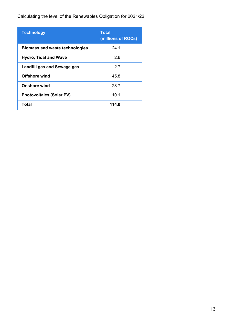Calculating the level of the Renewables Obligation for 2021/22

| <b>Technology</b>                     | <b>Total</b><br>(millions of ROCs) |
|---------------------------------------|------------------------------------|
| <b>Biomass and waste technologies</b> | 24.1                               |
| <b>Hydro, Tidal and Wave</b>          | 2.6                                |
| Landfill gas and Sewage gas           | 27                                 |
| <b>Offshore wind</b>                  | 45.8                               |
| <b>Onshore wind</b>                   | 28.7                               |
| <b>Photovoltaics (Solar PV)</b>       | 10.1                               |
| <b>Total</b>                          | 114.0                              |